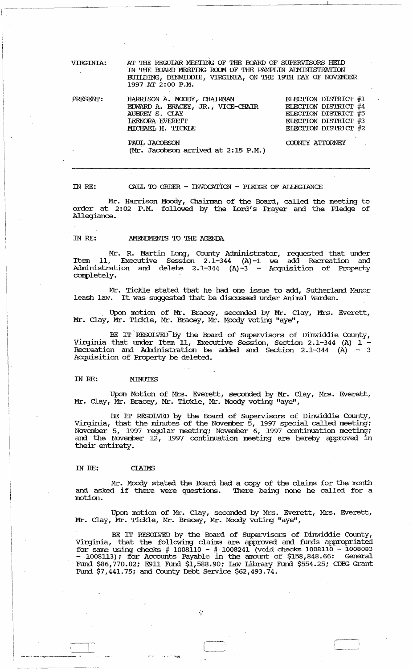| <b>VIRGINIA:</b> | AT THE REGULAR MEETING OF THE BOARD OF SUPERVISORS HEID<br>IN THE BOARD MEETING ROOM OF THE PAMPLIN ADMINISTRATION<br>BUILDING, DINWIDDIE, VIRGINIA, ON THE 19TH DAY OF NOVEMBER<br>1997 AT 2:00 P.M. |                                                                                                                             |
|------------------|-------------------------------------------------------------------------------------------------------------------------------------------------------------------------------------------------------|-----------------------------------------------------------------------------------------------------------------------------|
| PRESENT:         | HARRISON A. MOODY, CHAIRMAN<br>EDWARD A. BRACEY, JR., VICE-CHAIR<br>AUBREY S. CLAY<br><b>LEENORA EVERETT</b><br>MICHAEL H. TICKLE                                                                     | <b>ELECTION DISTRICT #1</b><br>ELECTION DISTRICT #4<br>ELECTION DISTRICT #5<br>ELECTION DISTRICT #3<br>ELECTION DISTRICT #2 |

PAUL JACOBSON (Mr. Jacobson arrived at 2:15 P.M.) COUNTY ATTORNEY

IN *RE:*  CALL TO ORDER - INVOCATION - PIEDGE OF ALLEGIANCE

Mr. Harrison Moody, Chainnan of the Board, called the meeting to order at 2:02 P.M. followed by the Lord's Prayer and the Pledge of Allegiance.

### IN RE: **AMENIMENIS TO THE AGENDA**

Mr. R. Martin Long, County Administrator, requested that under Item 11, Executive session 2.1-344 (A)-l we add Recreation and Administration and delete 2.1-344 (A)-3 - Acquisition of Property completely.

Mr. Tickle stated that he had one issue to add, SUtherland Manor leash law. It was suggested that be discussed under Animal Warden.

. Upon motion of Mr. Bracey, seconded by Mr. Clay, Mrs. Everett, Mr. Clay, Mr. Tickle, Mr. Bracey, Mr. Moody voting "aye",

BE IT RESOLVED by the Board of Supervisors of Dinwiddie County, Virginia that under Item 11, Executive Session, Section 2.1-344 (A) 1 - Recreation and Administration be added and Section 2.1-344  $(A)$  - 3 Acquisition of Property be deleted.

#### IN *RE:* MINUTES

Upon Motion of Mrs. Everett, seconded by Mr. Clay, Mrs. Everett, Mr. Clay, Mr. Bracey, Mr. Tickle, Mr. Moody voting "aye",

BE IT RESOLVED by the Board of Supervisors of Dinwiddie County, Virginia, that the minutes of the November 5, 1997 special called meeting; November 5, 1997 regular meeting; November 6, 1997 continuation meeting; and the November 12, 1997 continuation meeting are hereby approved in their entirety.

# IN *RE:* CIAIMS

Mr. Moody stated the Board had a copy of the claims for the month<br>and asked if there were questions. There being none he called for a There being none he called for a motion.

Upon motion of Mr. Clay, seconded by Mrs. Everett, Mrs. Everett, Mr. Clay, Mr. Tickle, Mr. Bracey, Mr. Moody voting "aye",

BE IT RESOLVED by the Board of SUpervisors of Dinwiddie County, Virginia, that the following claims are approved and funds appropriated for same using checks # 1008110 - # 1008241 (void checks 1008110 - 1008083 - 1008113); for Accounts Payable in the amount of \$158,848.66: General FUnd \$86,770.02; E911 Fund \$1,588.90; Law LJbrary Fund \$554.25; CDBG Grant Fund  $$7,441.75$ ; and County Debt Service  $$62,493.74$ .

 $\mathcal{L}^{\mathcal{A}}$ 

 $\Box$ 

. '''I;~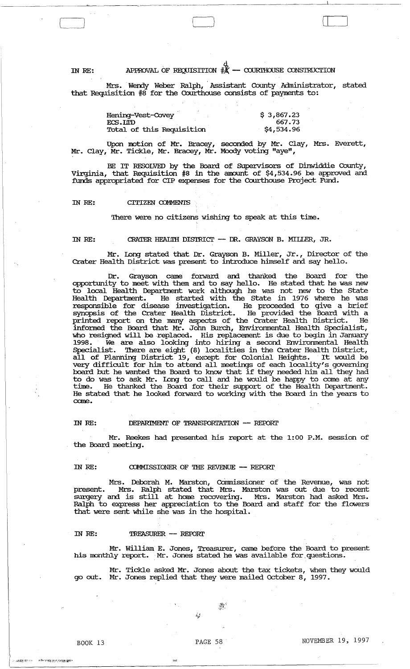# IN RE: APPROVAL OF REQUISITION  $\frac{d}{dX}$  - courthouse construction

 $\begin{array}{|c|c|} \hline \quad \quad & \quad \quad \\ \hline \quad \quad & \quad \quad \\ \hline \quad \quad & \quad \quad \\ \hline \end{array}$ 

Mrs. Wendy Weber Ralph, Assistant County Administrator, stated that Requisition  $\sharp 8$  for the Courthouse consists of payments to:

| Hening-Vest-Covey         | \$3,867.23 |
|---------------------------|------------|
| ECS.LITD                  | 667.73     |
| Total of this Requisition | \$4,534.96 |

 $\Box$ 

 $\mathbf \iota$ 

Upon notion of Mr. Bracey, seconded by Mr. Clay, Mrs. Everett, Mr. Clay, Mr. Tickle, Mr. Bracey, Mr. Moody voting "aye",

BE IT RESOLVED by the Board of Supervisors of Dinwiddie County, Virginia, that Requisition  $#8$  in the amount of \$4,534.96 be approved and funds appropriated for CIP expenses for the Courthouse Project Fund.

#### IN RE: CITIZEN OJMMENTS

There were no citizens wishing to speak at this time.

IN RE: CRATER HEAIlIH DISTRIcr - DR. GRAYSON B. MILLER, JR.

Mr. long stated that Dr. Grayson B. Miller, Jr., Director of the Crater Health District was present to introduce himself and say hello.

Dr. Grayson came forward and thanked the Board for the opportunity to meet with them and to say hello. He stated that he was new to local Health Deparbnent work although he was not new to the state Health Department. He started with the State in 1976 where he was responsible for disease investigation. He proceeded to give a brief synopsis of the Crater Health District. He provided the Board with a printed report on the many aspects of the crater Health District. He infonned the Board that Mr. John Burch, Envirornnental Health Specialist, who resigned will be replaced. His replacement is due to begin in January 1998. We are also looking into hiring a second Envirornnental Health Specialist. There are eight (8) localities in the Crater Health District, all of Planning District 19, except for Colonial Heights. It would be very difficult for him to attend all meetings of each locality's governing board but he wanted the Board to know that if they needed him all they had to do was to ask Mr. long to call and he would be happy to come at any time. He thanked the Board for their support of the Health Department. He stated that he looked forward to working with the Board in the years to came.

# IN RE: DEPARIMENT OF TRANSPORTATION -- REPORT

Mr. Reekes had presented his report at the 1:00 P.M. session of the Board meeting.

#### IN RE:  $COMMISSIONER$  OF THE REVENUE  $--$  REPORT

Mrs. Deborah M. Marston, Commissioner of the Revenue, was not present. Mrs. Ralph stated that Mrs. Marston was out due to recent surgery and is still at home recovering. Mrs. Marston had asked Mrs. Ralph to express her appreciation to the Board and staff for the flowers that were sent while she was in the hospital.

#### IN RE: TREASURER -- REPORT

Mr. William E. Jones, Treasurer, came before the Board to present his monthly report. Mr. Jones stated he was available for questions.

Mr. Tickle asked Mr. Jones about the tax tickets, when they would go out. Mr. Jones replied that they were mailed october 8, 1997.

 $\mathbb{R}^+$ 

 $\sim$   $\omega_B$ ita izr $\sim$   $\sim$   $\sim$   $\kappa$  from an equiposity in

 $\frac{1}{2}$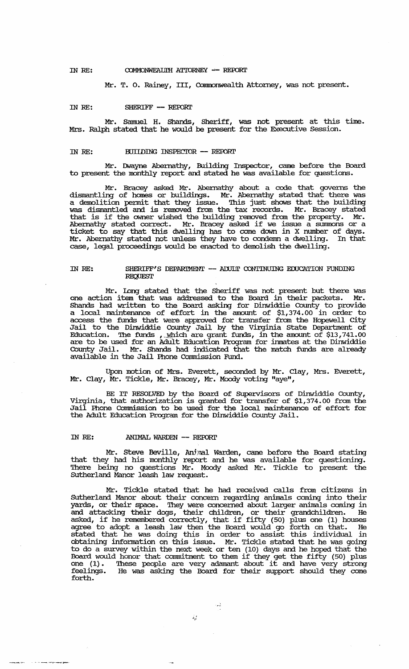# IN RE: COMMONWEALIH ATTORNEY -- REPORT

Mr. T. O. Rainey, III, Commonwealth Attorney, was not present.

#### m RE: SHERIFF - REroRr

Mr. Samuel H. Shands, Sheriff, was not present at this time. Mrs. Ralph stated that he would be present for the Executive Session.

#### IN RE: BUILDING INSPECTOR -- REPORT

Mr. IMayne Abernathy, Building Inspector, came before the Board to present the monthly report and stated he was available for questions.

Mr. Bracey asked Mr. Abernathy about a code that governs the dismantling of harnes or buildings. Mr. Abernathy stated that there was a demolition permit that they issue. This just shows that the building was dismantled and is removed from the tax records. Mr. Bracey stated that is if the owner wished the building removed from the property. Mr. Abernathy stated correct. Mr. Bracey asked if we issue a surmnons or a ticket to say that this dwelling has to come down in X number of days. Mr. Abernathy stated not unless they have to condemn a dwelling. In that case, legal proceedings would be enacted to demolish the dwelling.

#### IN RE: SHERIFF'S DEPARIMENT  $-$  ADULT CONTINUING EDUCATION FUNDING **REQUEST**

Mr. long stated that the Sheriff was not present but there was one action item that was addressed to the Board in their packets. Mr. Shands had written to the Board asking for Dinwiddie County to provide a local maintenance of effort in the amount of \$1,374.00 in order to access the funds that were approved for transfer from the Hopewell city Jail to the Dinwiddie County Jail by the Virginia state Deparbnent of Education. The funds , which are grant funds, in the amount of  $$13,741.00$ are to be used for an Adult Education Program for inmates at the Dinwiddie County Jail. Mr. Shands had indicated that the match funds are already available in the Jail Phone Commission Fund.

Upon motion of Mrs. Everett, seconded by Mr. Clay, Mrs. Everett, Mr. Clay, Mr. Tickle, Mr. Bracey, Mr. Moody voting "aye",

BE IT RESOLVED by the Board of SUpervisors of Dinwiddie County, Virginia, that authorization is granted for transfer of \$1,374.00 from the Jail Phone cammission to be used for the local maintenance of effort for the Adult Education Program for the Dinwiddie County Jail.

# IN RE: ANIMAL WARDEN -- REPORT

Mr. Steve Beville, Animal Warden, came before the Board stating that they had his monthly report and he was available for questioning. '!here being no questions Mr. Moody asked Mr. Tickle to present the sutherland Manor leash law request.

Mr. Tickle stated that he had received calls from citizens in Sutherland Manor about their concern regarding animals coming into their yards, or their space. They were concerned about larger animals coming in and attacking their dogs, their children, or their grandchildren. He and accacking their dogs, their cinnuren, or their grandchildren. He<br>asked, if he remembered correctly, that if fifty (50) plus one (1) houses agree to adopt a leash law then the Board would go forth on that. He stated that he was doing this in order to assist this individual in obtaining infonnation on this issue. Mr. Tickle stated that he was going to do a survey within the next week or ten (10) days and he hoped that the Board would honor that connnibnent to them if they get the fifty (50) plus Board Would Nonor that commitment to them if they get the fifty (50) plus<br>one (1). These people are very adamant about it and have very strong feelings. He was asking the Board for their support should they come forth.

لأنوء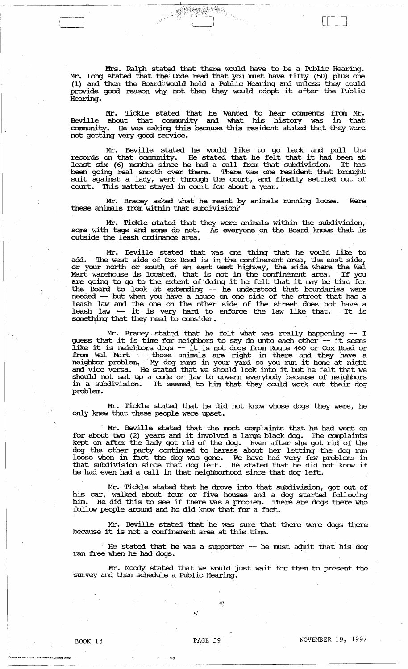Mrs. Ralph stated that there would have to be a Public Hearing. Mr. Long stated that the Code read that you must have fifty (50) plus one (1) and then the Board would hold a Public Hearing and unless they could provide good reason why not then they would adopt it after the Public Hearing.

 $r^{1/2}$  reads to  $r^{1/2}$  ,  $r^{1/2}$  ,  $r^{1/2}$  ,  $r^{1/2}$  ,  $r^{1/2}$  ,  $r^{1/2}$  ,  $r^{1/2}$  ,  $r^{1/2}$  ,  $r^{1/2}$  ,  $r^{1/2}$  ,  $r^{1/2}$  ,  $r^{1/2}$  ,  $r^{1/2}$  ,  $r^{1/2}$  ,  $r^{1/2}$  ,  $r^{1/2}$  ,  $r^{1/2}$  ,  $r^{1/2}$  ,  $r^{1/$ 

Mr. Tickle stated' that he wanted to hear camments fram Mr. Beville about that conununity and what his history was in that Beville about that community and what his history was in that community. He was asking this because this resident stated that they were not getting very good service.

Mr. Beville stated he would like to go back and pull the records on that community. He stated that he felt that it had been at least six (6) months since he had a call from that subdivision. It has been going real smooth over there. There was one resident that brought suit against a lady, went through the court, and finally settled out of court. This matter stayed in court for about a year.

Mr. Bracey asked what he meant by animals running loose. Were these animals from within that subdivision?

Mr. Tickle stated that they were animals within the subdivision, same with tags and same do not. As everyone on the Board knows that is outside the leash ordinance area.

Mr. Beville stated that was one thing that he would like to add. The west side of Cox Road is in the confinement area, the east side, or your north or south of an 'east west highway, the side where the Wal Mart warehouse is located, that is not in the confinement area. If you mart warehouse is located, that is not in the commentent area. If you the Board to look at extending -- he understood that boundaries were needed -- but when you' have a house on one side of the street that has <sup>a</sup> leash law and the one on the other side of the street does not have a leash law - it is very hard to enforce the law like that. It is something that they need to consider.

Mr. Bracey stated that he felt what was really happening -- I guess that it is time for neighbors to say do unto each other -- it seems like it is neighbors dogs - it is not dogs fram Route 460 or Cox Road or from Wal Mart -- those animals are right in there and they have a neighbor problem. My dog runs in your yard so you run it home at night am vice versa. He stated that we should look into it but he felt that we should not set up a code or law tb govern everybody because of neighbors in a subdivision. It seemed to him that they could work out their dog problem.

Mr. Tickle stated that he did not know whose dogs they were, he only knew that these people were upset.

Mr. Beville stated that the most complaints that he had went on for about two (2) years and it involved a large black dog. The complaints kept on after the lady got rid of the dog. Even after she got rid of the dog the other party continued to harass about her letting the dog run loose when in fact the dog was gone. We have had very few problems in that subdivision since that dog left. He stated that he did not know if he had even had a call in that neighborhood since that dog left.

Mr. Tickle stated that he drove into that subdivision, got out of his car, walked about four or five houses and a dog started following him. He did this to see if there was a problem. There are dogs there who follow people around and he did know that for a fact.

Mr. Beville stated that he was sure that there were dogs there because it is not a confinement area at this time.

He stated that he was a supporter  $-$  he must admit that his dog ran free when he had dogs. .

Mr. Moody stated that we would just wait for them to present the survey and then schedule a Public Hearing.

0?

 $\left| \hat{r}_\mathrm{L}$  , and a set of  $\epsilon$  . The set of  $\epsilon$  is the set of  $\epsilon$  . The set of  $\epsilon$ 

;:,1

'r~~~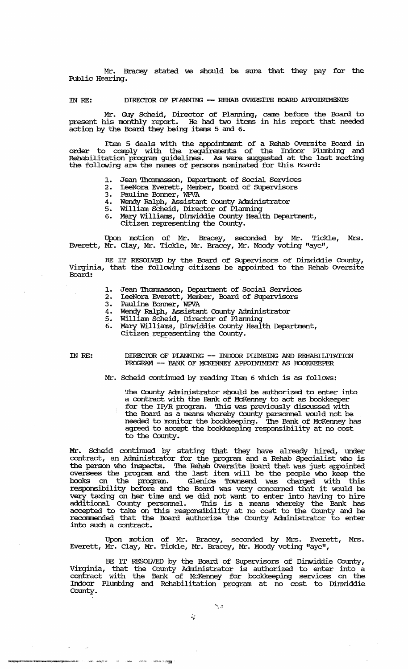Mr. Bracey stated we should be sure that they pay for the Public Hearing.

IN RE: DIRECTOR OF PLANNING - REHAB OVERSITE BOARD APPOINTMENTS

Mr. Guy Scheid, Director of Plarming, came before the Board to present his monthly report. He had two items in his report that needed action by the Board they being items 5 and 6.

Item 5 deals with the appointment of a Rehab Oversite Board in order to comply with the requirements of the Indoor Plumbing and Rehabilitation program guidelines. As were suggested at the last meeting the following are the names of persons nominated for this Board:

- 1. Jean Thommasson, Department of Social Services
- 2. IeeNora Everett, Member, Board of SUpervisors
- 3. Pauline Bormer, WPVA
- 4. Wendy Ralph, Assistant County Administrator
- 5. William Scheid, Director of Plarming
- 6. Mary Williams, Dinwiddie County Health Department,
	- Citizen representing the County.

Upon motion of Mr. Bracey, seconded by Mr. Tickle, Mrs. Everett, Mr. Clay, Mr. Tickle, Mr. Bracey, Mr. Moody voting "aye",

BE IT RESOLVED by the Board of SUpervisors of Dinwiddie County, Virginia, that the following citizens be appointed to the Rehab oversite Board:

- 1. Jean Thommasson, Department of Social Services<br>2. IeeNora Everett, Member, Board of Supervisors
- 2. IeeNora Everett, Member, Board of SUpervisors
- 3. Pauline Bonner, WPVA
- 4. Wendy Ralph, Assistant County Administrator
- 5. William Scheid, Director of Planning
- 6. Mary Williams, Dinwiddie County Health Department,
	- Citizen representing the County.

IN *RE:* 

 $\hat{\mathcal{A}}$  $\mathcal{L}_{\mathcal{A}}$ 

> DIRECIOR OF PIANNING  $--$  INDOOR PILMBING AND REHABILITATION PROGRAM -- BANK OF MCKENNEY APPOINTMENT AS BOOKKEEPER

Mr. Scheid continued by reading Item 6 which is as follows:

'!he County Administrator should be authorized to enter into a contract with the Bank of McKenney to act as bookkeeper for the IP/R program. This was previously discussed with the Board as a means whereby County personnel would not be needed to monitor the bookkeeping. The Bank of McKenney has agreed to accept the bookkeeping responsibility at no cost to the County.

Mr. Scheid continued by stating that they have already hired, under contract, an Administrator for the program and a Rehab Specialist who is the person who inspects. '!he Rehab oversite Board that was just appointed oversees the program and the last item will be the people who keep the books on the program. Glenice Townsend was charged with this responsibility before and the Board was very concerned that it would be very taxing on her time and we did not want to enter into having to hire vary coming on not climb did we did not want to did into inving to find addressing county personal to this to denomine when  $\frac{1}{2}$  are faint into accepted to take on this responsibility at no cost to the County and he recanunended that the Board authorize the County Administrator to enter into such a contract.

Upon motion of Mr. Bracey, seconded by Mrs. Everett, Mrs. Everett, Mr. Clay, Mr. Tickle, Mr. Bracey, Mr. Moody voting "aye",

BE IT RESOLVED by the Board of Supervisors of Dinwiddie County, Virginia, that the County Administrator is authorized to enter into a contract with the Bank of McKenney for bookkeeping services on the Indoor Plumbing and Rehabilitation program at no cost to Dinwiddie County.

 $\sum_{i=1}^{n}$ 

., .4',-

~--"'~OS"'''''R1ii:!L\_'' , ....... - • • ..",1"'.~.-.'.~~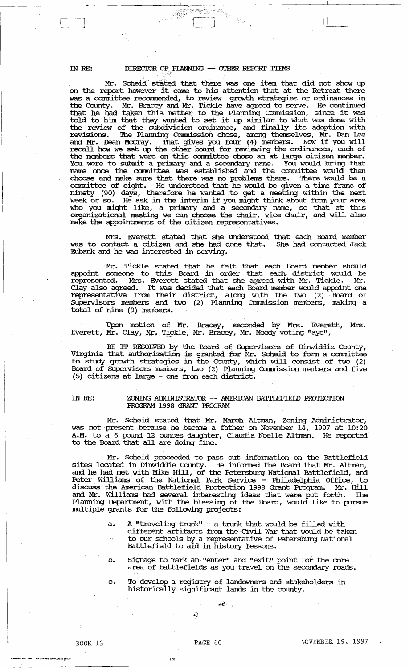# IN RE: DIRECTOR OF, PIANNING -- OTHER REPORT ITEMS

., ':,O:'.{'. en de la companya de la companya de la companya de la companya de la companya de la companya de la companya de<br>La companya de la companya de la companya de la companya de la companya de la companya de la companya de la co

Mr. Scheid stated that there was one item that did not show up on the report however it came to his attention that at the Retreat there was a committee recommended, to review growth strategies or ordinances in the County. Mr. Bracey and Mr. Tickle have agreed to serve. ' He continued that he had taken this matter to the Planning Commission, since it was told to him that they wanted to set it up similar to what was done with told to him that they wanted to set it up similar to what was done with the review of the subdivision ordinance, and finally its adoption with revisions. The Planning Commission chose, and finally its adoption with revisions. The Planning Commission chose, among themselves, Mr. Dan Lee and Mr. Dean McCray. '!hat gives you four (4) members. NCM if you will recall how we set up the other board for reviewing the ordinances, each of the members that were on this committee chose an' at large citizen member. You were to submit a primary and a secondary name. You would bring that name once the committee was established and the committee would then choose and make sure that there was no problems there. '!here would be a committee of eight. He understood that he would be given a time frame of ninety (90) days, therefore he wanted to get a meeting within the next week or so. He ask in the interim if you might think about from your area who you might like, a primary and a secondary name, so that at this organizational meeting we can choose the chair, vice-cbair, and will also make the appointments of the citizen representatives.

Mrs. Everett stated that she understood that each Board member was to contact a citizen and she had done that. She had contacted Jack Eubank and he was interested in serving.

Mr. Tickle stated that he felt that each Board member should appoint someone to this Board in order that each district would be represented. Mrs. Everett stated that she agreed with Mr. Tickle. Mr. Clay also agreed. It was decided that each Board member would appoint one representative from their district, along with the two (2) Board of SUpervisors members and two (2) Planning Cormnission members, making a total of nine (9) members.

Upon motion of Mr. Bracey, seconded by Mrs. Everett, Mrs. Everett, Mr. Clay, Mr. Tickle, Mr. Bracey, Mr. Moody voting "aye",

BE IT RESOLVED by the Board of SUpervisors of Dinwiddie County, Virginia that authorization is granted for Mr. Scheid to form a committee to study growth strategies in the County, which will consist of two (2) Board of Supervisors members, two (2) Planning Commission members and five (5) citizens at large - one from each district.

# IN RE: ZONING ADMINISTRATOR -- AMERICAN BATTLEFIELD PROTECTION PROGRAM 1998 GRANT PROGRAM

Mr. Scheid stated that Mr. March Altman, Zoning Administrator, was not present because he became a father on November 14, 1997 at 10:20 A.M. to a 6 pound 12 ounces daughter, Claudia Noelle Albnan. He reported to the Board that all are doing fine.

Mr. Scheid proceeded to pass out infonnation on the Battlefield sites located in Dinwiddie County. He infonned the Board that Mr. Albnan, and he had met with Mike Hill, of the Petersburg National Battlefield, and Peter Williams of the National Park Service - Philadelphia Office, to discuss the American Battlefield Protection 1998 Grant Program. Mr. Hill and Mr. Williams had several interesting ideas that were put forth. The Planning Department, with the blessing of the Board, would like to pursue multiple grants for the following projects:

- a. A "traveling trunk" a trunk that would be filled with different artifacts from the Civil War that would be taken to our schools by a representative of Petersburg National Battlefield to aid in history lessons.
- b. Signage to mark an "enter" and "exit" point for the core area of battlefields as you travel on the secondary roads.
- c. To develop a registry of landowners and stakeholders in historically significant lands in the county.

;~

..... --.. .. - •.•• - ... ,~ , .... ......., '·--:-."'!'1U p:".!: •

;;:

 $\frac{1}{2}$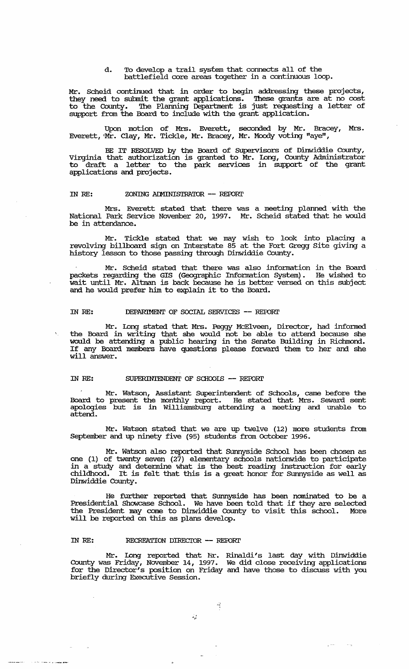d. To develop a trail system that connects all of the battlefield core areas together in a continuous loop.

Mr. Scheid continued that in order to begin addressing these projects, they need to submit the grant applications. 'lhese grants are at no cost to the County. The Planning Department is just requesting a letter of support from the Board to include with the grant application.

Upon motion of Mrs. Everett, seconded by Mr. Bracey, Mrs. Everett, 'Mr. Clay, Mr. Tickle, Mr. Bracey, Mr. Moody voting "aye",

BE IT RESOLVED by the Board of SUpervisors of Dinwiddie County, Virginia that authorization is granted to Mr. Iong, County Administrator to draft a letter to the park services in support of the grant applications and projects.

# IN RE: ZONING ADMINISTRATOR -- REPORT

Mrs. Everett stated that there was a meeting planned with the National Park Service November 20, 1997. Mr. Scheid stated that he would be in attendance.

Mr. Tickle stated that we may wish to look into placing a revolving billboard sign on Interstate 85 at the Fort Gregg Site giving a histo:ry lesson to those passing through Dinwiddie COunty.

Mr. Scheid stated that there was also infonnation in the Board packets regarding the GIS (Geographic Infonnation system). He wished to wait until Mr. Altman is back because he is better versed on this subject and he would prefer him to explain it to the Board.

# IN *RE:* DEPARIMENT OF SOCIAL SERVICES -- REroRI'

Mr. Long stated that Mrs. Peggy McElveen, Director, had informed. the Board in writing that she would not be able to attend because she would be attending a public hearing in the Senate Building in Richmond. If any Board members have questions please forward them to her and she will answer.

#### IN RE: SUPERINTENDENT OF SCHOOLS -- REPORT

Mr. Watson, Assistant SUperintendent of Schools, came before the Board to present the monthly report. He stated that Mrs. Seward sent apologies but is in Williamsburg attending a meeting and unable to attend.

Mr. Watson stated that we are up twelve (12) more students from September and up ninety five (95) students from October 1996.

Mr. watson also reported that sunnyside School has been chosen as one (1) of twenty seven (27) elementary schools nationwide to participate in a study and determine what is the best reading instruction for early childhood. It is felt that this is a great honor for Sunnyside as well as Dinwiddie COunty.

He further reported that sunnyside has been nominated to be a Presidential Showcase School. We have been told that if they are selected the President may come to Dinwiddie COunty to visit this school. More will be reported on this as plans develop.

# IN *RE:* RECREATION DIRECIOR -- REroRI'

Mr. IDng reported that Nr. Rinaldi's last day with Dinwiddie County was Friday, November 14, 1997. We did close receiving applications for the Director's position on Friday and have those to discuss with you briefly during Executive Session .

Ą

 $e^{-2i\pi i}$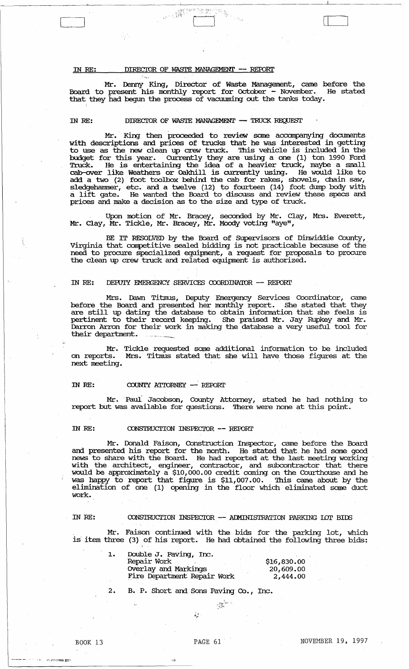# IN RE: DIRECTOR OF WASTE MANAGEMENT -- REPORT

April.<br>Agust

Mr. Denny King, Director of Waste Management, came before the Board to present his monthly report for October - November. He stated that they had begun the process of vacuuming out the tanks today.

C<sup>+</sup> The C<sup>+</sup> J<sup>2</sup> <sup>S</sup><sup>2</sup> <sup>The</sup> C<sup>+</sup> J<sup>2</sup> <sup>The</sup> C+ <sub>J</sub><sup>2</sup> <sup>The</sup> C+ <sub>J</sub><sup>2</sup> <sup>The</sup> C+ <sub>J</sub><sup>2</sup> <sup>T</sup>

#### IN RE: DIRECTOR OF WASTE MANAGEMENT -- TRUCK REQUEST

Mr. King then proceeded to review same accompanying documents with descriptions and prices of trucks that he was interested in getting to use as the new clean up crew truck. This vehicle is included in the budget for this year. currently they are using a one (1) ton 1990 Ford Truck. He is entertaining the idea of a heavier truck, maybe a small cab-over like Weathers or Dakhill is currently using. He would like to add a two (2) foot toolbox behind the cab for rakes, shovels, chain saw, sledgehannner, etc. and a twelve (12) to fourteen (14) foot dump body with shedgehammer, etc. and a twerve (12) to fourteen (14) foot dump body with prices and make a decision as to the size and type of truck.

Upon motion of Mr. Bracey, seconded by Mr. Clay, Mrs. Everett, Mr. Clay, Mr. Tickle, Mr. Bracey, Mr. Moody voting "aye",

BE IT RESOLVED by the Board of Supervisors of Dinwiddie County, Virginia that competitive sealed bidding is not practicable because of the need to procure specialized equipment, a request for proposals to procure the clean up crew truck and related equipment is authorized.

# IN RE: DEPUIY EMERGENCY SERVICES COORDINATOR -- REPORT

Mrs. Dawn Titmus, Deputy Emergency Services Coordinator, came before the Board and presented her monthly report. She stated that they are still up dating the database to obtain information that she feels is pertinent to their record keeping. She praised Mr. Jay Rupkey and Mr. Darron Arran for their work in making the database a very useful tool for their department.

Mr. Tickle requested some additional information to be included on reports. Mrs. Titlnus stated that she will have those figures at the next meeting.

#### IN RE: COUNTY ATTORNEY -- REPORT

Mr. Paul Jacobson, County Attorney, stated he had nothing to report but was available for questions. There were none at this point.

# IN RE: CONSTRUCTION INSPECTOR -- REPORT

Mr. Donald Faison, Construction Inspector, came before the Board and presented his report for the month. He stated that he had some good news to share with the Board. He had reported at the last meeting working with the architect, engineer, contractor, and subcontractor that there would be approximately a \$10,000.00 credit coming on the Courthouse and he was happy to report that figure is \$11,007.00. This came about by the elimination of one (1) opening in the floor which eliminated some duct work.

# IN RE: CONSTRUCTION INSPECIOR -- ADMINISTRATION PARKING LOT BIDS

Mr. Faison continued with the bids for the parking lot, which is' item three (3) of his report. He had obtained the following three bids:

:.:~~\ ...

| 1. | Double J. Paving, Inc.      |             |
|----|-----------------------------|-------------|
|    | Repair Work                 | \$16,830.00 |
|    | Overlay and Markings        | 20,609.00   |
|    | Fire Department Repair Work | 2,444,00    |

2. B. P. Short and Sons Paving Co., Inc.

 $\dot{z}_i$  ;

 $:$   $:$ 

,'; ~":",,':::':~ ;,::~'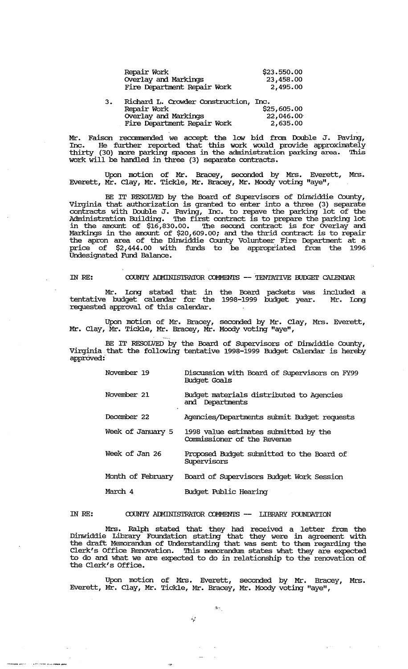| Repair Work                           | \$23.550.00 |
|---------------------------------------|-------------|
| Overlay and Markings                  | 23,458.00   |
| Fire Department Repair Work           | 2,495.00    |
| Richard L. Crowder Construction, Inc. |             |

| 3. | Richard L. Crowder Construction, Inc. |             |
|----|---------------------------------------|-------------|
|    | Repair Work                           | \$25,605.00 |
|    | Overlay and Markings                  | 22,046.00   |
|    | Fire Department Repair Work           | 2,635.00    |
|    |                                       |             |

Mr. Faison recommended we accept the low bid from Double J. Paving, Inc. He further reported that this work would provide approximately thirty (30) more parking spaces in the administration parking area. '!his work will be handled in three (3) separate contracts.

Upon motion of Mr. Bracey, seconded by Mrs. Everett, Mrs. Everett, Mr. Clay, Mr. Tickle, Mr. Bracey, Mr. Moody voting "aye",

BE IT RESOLVED by the Board of supervisors of Dinwiddie County, Virginia that authorization is granted to enter into a three  $(3)$  separate contracts with Double J. Paving, Inc. to repave the parking lot of the Administration Building. '!he first contract is to prepare the parking lot in the amount of \$16,830.00. '!he second contract is for OVerlay and Markings in the amount of \$20,609.00; and the thrid contract is to repair the apron area of the Dinwiddie County Volunteer Fire Department at a price of \$2,444.00 with funds to be appropriated from the 1996 Undesignated Fund Balance.

# IN RE: COUNTY ADMINISTRATOR COMMENTS -- TENTATIVE BUDGET CALENDAR

Mr. Long stated that in the Board packets was included a tentative budget calendar for the 1998-1999 budget year. Mr. long requested approval of this calendar.

Upon motion of Mr. Bracey, seconded by Mr. Clay, Mrs. Everett, Mr. Clay, Mr. Tickle, Mr. Bracey, Mr. Moody voting "aye",

BE IT RESOLVED by the Board of Supervisors of Dinwiddie County, Virginia that the following tentative 1998-1999 Budget Calendar is hereby approved:'

| November 19       | Discussion with Board of Supervisors on FY99<br>Budget Goals         |
|-------------------|----------------------------------------------------------------------|
| November 21       | Budget materials distributed to Agencies<br>and Departments          |
| December 22       | Agencies/Departments submit Budget requests                          |
| Week of January 5 | 1998 value estimates submitted by the<br>Commissioner of the Revenue |
| Week of Jan 26    | Proposed Budget submitted to the Board of<br>Supervisors             |
| Month of February | Board of Supervisors Budget Work Session                             |
| March 4           | Budget Public Hearing                                                |

IN *RE:*  COUNTY ADMINISTRATOR COMMENTS -- LIBRARY FOUNDATION

Mrs. Ralph stated that they had received a letter from the Dinwiddie Library Foundation stating that they were in agreement with the draft Memorandum of Understanding that was sent to them regarding the Clerk's Office Renovation. 'Ibis memorandum states what they are expected to do and what we are expected to do in relationship to the renovation of the Clerk's Office.

Upon motion of Mrs. Everett, seconded by Mr. Bracey, Mrs. Everett, Mr. Clay, Mr. Tickle, Mr. Bracey, Mr. Moody voting "aye",

 $\ddot{\mathbf{a}}$ 

 $\lambda_{\rm p}$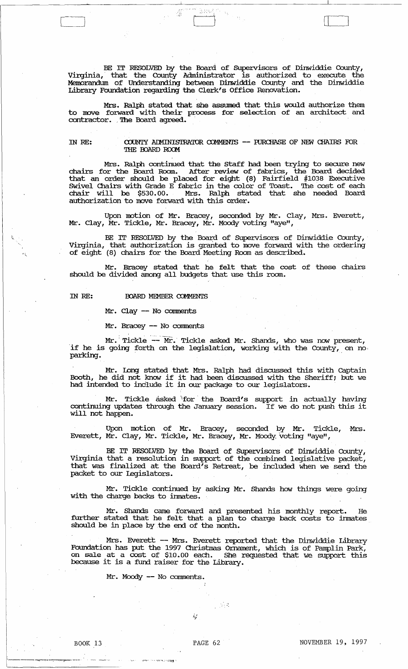BE IT RESOLVED by the Board of Supervisors of Dinwiddie County, Virginia, that the County Administrator is authorized to execute the Memorandum of Understanding between Dinwiddie County and the Dinwiddie Library Foundation regarding the Clerk's Office Renovation.

".'." C<sup>21</sup> (2002) (2003) (2003) (2003) (2004) (2004) (2004) (2004) (2004) (2004) (2004) (2004) (2004) (2004) (2004) (2004) (2004) (2004) (2004) (2004) (2004) (2004) (2004) (2004) (2004) (2004) (2004) (2004) (2004) (2004) (2004)

Mrs. Ralph stated that she assumed that this would authorize them to move forward with their process for selection of an architect and contractor. ,The Board agreed.

IN RE: COUNTY ADMINISTRATOR COMMENTS -- FURCHASE OF NEW CHAIRS FOR THE BOARD ROOM

Mrs. Ralph continued that the staff had been trying to secure new chairs for the Board Room. After review of fabrics, the Board decided that an order should be placed for eight (8) Fairfield #1038 Executive SWivel Chairs with Grade E fabric in the color of Toast. The cost of each chair will be \$530.00. Mrs. Ralph stated that she needed Board authorization to move forward with this order.

Upon motion of Mr. Bracey, seconded by Mr. Clay, Mrs. Everett, Mr. Clay, Mr. Tickle, Mr. Bracey, Mr. Moody voting "aye",

BE IT RESOLVED by the Board of Supervisors of Dinwiddie County, Virginia, that authorization is granted to move forward with the ordering of eight (8) chairs for the Board Meeting Room as described.

Mr. Bracey stated that he felt that the cost of these chairs should be divided among all budgets that use this room.

IN RE: **BOARD MEMBER COMMENTS** 

\~.

Mr. Clay - No comments

Mr. Bracey -- No comments

Mr. Tickle -- Mr. Tickle asked Mr. Shands, who was now present, ·if he is going forth on the legislation, working with the County, on no, It he is going forth on the legislation, working with the County,<br>parking.

Mr. Long stated that Mrs. Ralph had discussed this with Captain Booth, he did not know if it had been discussed with the Sheriff; but we had intended to include it in our package to our legislators.

Mr. Tickle asked "for the Board's support in actually having Mr. Tickie asked for the Board's support in actually having<br>continuing updates through the January session. If we do not push this it will not happen.

Upon motion of Mr. Bracey, seconded by Mr. Tickle, Mrs. Everett, Mr. Clay, Mr. Tickle, Mr. Bracey, Mr. Moody voting "aye",

BE IT RESOLVED by the Board of SUpervisors of Dinwiddie County, Virginia that a resolution in support of the combined legislative packet, that was finalized at the Board's Retreat, be included when we send the packet to our Legislators.

Mr. Tickle continued by asking Mr. Shands how things were going with the charge backs to inmates.

Mr. Shands came forward and presented his monthly report. He further stated that he felt that a plan to charge back costs to inmates should be in place by the end of the month.

Mrs. Everett -- Mrs. Everett reported that the Dinwiddie Library Foundation has put the 1997 Christmas Omament, which is of Pamplin Park, on sale at a cost of \$10.00 each. She requested that we support this because it is a fund raiser for the Library.

 $\sim$  ,  $\sim$ 

Mr. Moody -- No comments.

 $i_{\mu}$  !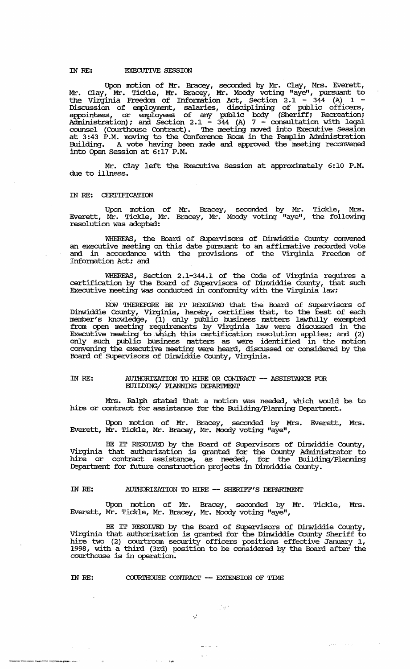# IN RE: EXECUTIVE SESSION

Upon motion of Mr. Bracey, seconded by Mr. Clay, Mrs. Everett, Mr. clay, Mr. Tickle, Mr. Bracey, Mr. Moody voting "aye", pursuant to the Virginia Freedom of Information Act, Section  $2.1 - 344$  (A)  $1 -$ Discussion of employment, salaries, disciplining of public officers, appointees, or employees of any public body (Sheriff; Recreation; Administration); and Section 2.1 - 344 (A)  $7$  - consultation with legal counsel (Courthouse Contract). The meeting moved into Executive Session at 3:43 P.M. moving to the Conference Room in the Pamplin Administration Building. A vote having been made and approved the meeting reconvened into Open Session at 6: 17 P.M.

Mr. Clay left the Executive Session at approximately 6:10 P.M. due to illness.

#### IN RE: CERTIFICATION

Upon motion of Mr. Bracey, seconded by Mr. Tickle, Mrs. Everett, Mr. Tickle, Mr. Bracey, Mr. Moody voting "aye", the following resolution was adopted:

WHEREAS, the Board of Supervisors of Dinwiddie County convened an executive meeting on this date pursuant to an affirmative recorded vote and in accordance with the provisions of the Virginia Freedom of Information Act; and

WHEREAS, Section 2.1-344.1 of the Code of Virginia requires a certification by the Board of SUpervisors of Dinwiddie County, that such Executive meeting was conducted in conformity with the Virginia law;

NOW THEREFORE BE IT RESOLVED that the Board of SUpervisors of Dinwiddie County, Virginia, hereby, certifies that, to the best of each member's knowledge, (1) only public business matters lawfully exempted from open meeting requirements by Virginia law were discussed in the Executive meeting to which this certification resolution applies; and (2) only such public business matters as were identified in the motion convening the executive meeting were heard, discussed or considered by the Board of Supervisors of Dinwiddie County, Virginia.

### IN RE: AUTHORIZATION TO HIRE OR CONTRACT -- ASSISTANCE FOR mIIDING/ PIANNING DEPARIMENT

Mrs. Ralph stated that a motion was needed, which would be to hire or contract for assistance for the Building/Planning Department.

Upon motion of Mr. Bracey, seconded by Mrs. Everett, Mrs. Everett, Mr. Tickle, Mr. Bracey, Mr. Moody voting "aye",

BE IT RESOLVED by the Board of SUpervisors of Dinwiddie County, Virginia that authorization is granted for the County Administrator to hire or contract assistance, as needed, for the Building/Planning Department for future construction projects in Dinwiddie County.

# IN RE: AUTHORIZATION TO HIRE -- SHERIFF'S DEPARIMENT

Upon motion of Mr. Bracey, seconded by Mr. Tickle, Mrs. Everett, Mr. Tickle, Mr. Bracey, Mr. Moody voting "aye",

BE IT RESOLVED by the Board of Supervisors of Dinwiddie County, Virginia that authorization is granted for the Dinwiddie County Sheriff to hire two (2) courtroom security officers positions effective January 1, 1998, with a third (3rd) position to be considered by the Board after the courthouse is in operation.

ا چڻي

 $e^{2\pi i \omega t}$ 

#### IN RE: COURTHOUSE CONTRACT -- EXTENSION OF TIME

 $\sim 10^{-10}$  and

--------"!-.~."

 $\lambda_{\rm eff}^{-1}$ 

منابذ بالم